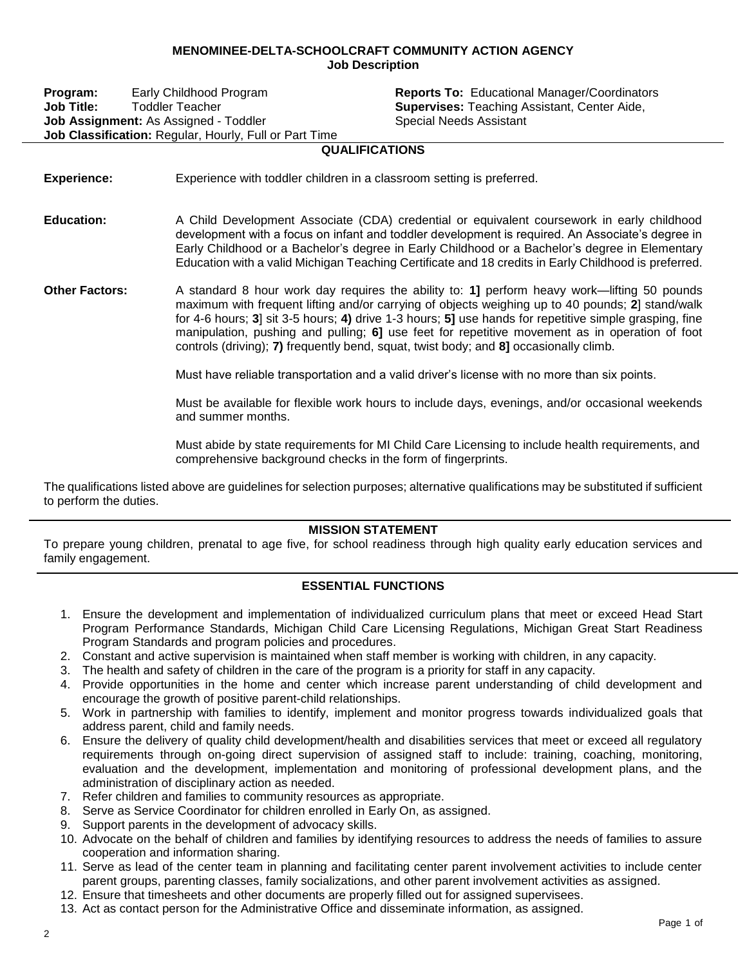## **MENOMINEE-DELTA-SCHOOLCRAFT COMMUNITY ACTION AGENCY Job Description**

**Program:** Early Childhood Program **Reports To:** Educational Manager/Coordinators **Job Title:** Toddler Teacher **Supervises:** Teaching Assistant, Center Aide, **Job Assignment:** As Assigned - Toddler Special Needs Assistant **Job Classification:** Regular, Hourly, Full or Part Time

## **QUALIFICATIONS**

- **Experience:** Experience with toddler children in a classroom setting is preferred.
- **Education:** A Child Development Associate (CDA) credential or equivalent coursework in early childhood development with a focus on infant and toddler development is required. An Associate's degree in Early Childhood or a Bachelor's degree in Early Childhood or a Bachelor's degree in Elementary Education with a valid Michigan Teaching Certificate and 18 credits in Early Childhood is preferred.
- **Other Factors:** A standard 8 hour work day requires the ability to: **1]** perform heavy work—lifting 50 pounds maximum with frequent lifting and/or carrying of objects weighing up to 40 pounds; **2**] stand/walk for 4-6 hours; **3**] sit 3-5 hours; **4)** drive 1-3 hours; **5]** use hands for repetitive simple grasping, fine manipulation, pushing and pulling; **6]** use feet for repetitive movement as in operation of foot controls (driving); **7)** frequently bend, squat, twist body; and **8]** occasionally climb.

Must have reliable transportation and a valid driver's license with no more than six points.

Must be available for flexible work hours to include days, evenings, and/or occasional weekends and summer months.

Must abide by state requirements for MI Child Care Licensing to include health requirements, and comprehensive background checks in the form of fingerprints.

The qualifications listed above are guidelines for selection purposes; alternative qualifications may be substituted if sufficient to perform the duties.

## **MISSION STATEMENT**

To prepare young children, prenatal to age five, for school readiness through high quality early education services and family engagement.

## **ESSENTIAL FUNCTIONS**

- 1. Ensure the development and implementation of individualized curriculum plans that meet or exceed Head Start Program Performance Standards, Michigan Child Care Licensing Regulations, Michigan Great Start Readiness Program Standards and program policies and procedures.
- 2. Constant and active supervision is maintained when staff member is working with children, in any capacity.
- 3. The health and safety of children in the care of the program is a priority for staff in any capacity.
- 4. Provide opportunities in the home and center which increase parent understanding of child development and encourage the growth of positive parent-child relationships.
- 5. Work in partnership with families to identify, implement and monitor progress towards individualized goals that address parent, child and family needs.
- 6. Ensure the delivery of quality child development/health and disabilities services that meet or exceed all regulatory requirements through on-going direct supervision of assigned staff to include: training, coaching, monitoring, evaluation and the development, implementation and monitoring of professional development plans, and the administration of disciplinary action as needed.
- 7. Refer children and families to community resources as appropriate.
- 8. Serve as Service Coordinator for children enrolled in Early On, as assigned.
- 9. Support parents in the development of advocacy skills.
- 10. Advocate on the behalf of children and families by identifying resources to address the needs of families to assure cooperation and information sharing.
- 11. Serve as lead of the center team in planning and facilitating center parent involvement activities to include center parent groups, parenting classes, family socializations, and other parent involvement activities as assigned.
- 12. Ensure that timesheets and other documents are properly filled out for assigned supervisees.
- 13. Act as contact person for the Administrative Office and disseminate information, as assigned.